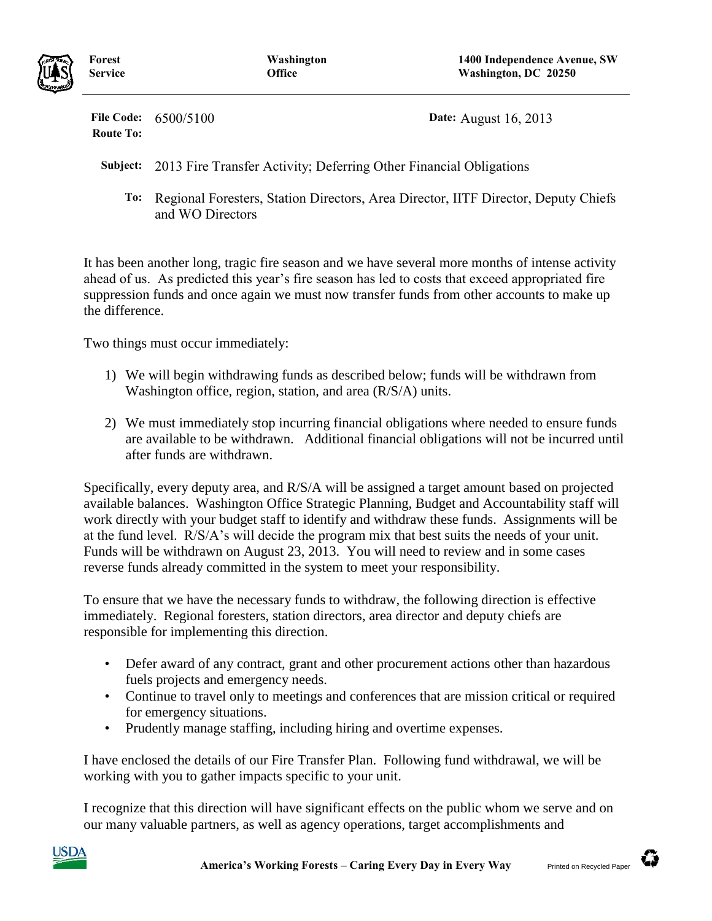

**Forest Service**

**File Code:** 6500/5100 **Date:** August 16, 2013 **Route To:**

**Subject:** 2013 Fire Transfer Activity; Deferring Other Financial Obligations

**To:** Regional Foresters, Station Directors, Area Director, IITF Director, Deputy Chiefs and WO Directors

It has been another long, tragic fire season and we have several more months of intense activity ahead of us. As predicted this year's fire season has led to costs that exceed appropriated fire suppression funds and once again we must now transfer funds from other accounts to make up the difference.

Two things must occur immediately:

- 1) We will begin withdrawing funds as described below; funds will be withdrawn from Washington office, region, station, and area (R/S/A) units.
- 2) We must immediately stop incurring financial obligations where needed to ensure funds are available to be withdrawn. Additional financial obligations will not be incurred until after funds are withdrawn.

Specifically, every deputy area, and R/S/A will be assigned a target amount based on projected available balances. Washington Office Strategic Planning, Budget and Accountability staff will work directly with your budget staff to identify and withdraw these funds. Assignments will be at the fund level. R/S/A's will decide the program mix that best suits the needs of your unit. Funds will be withdrawn on August 23, 2013. You will need to review and in some cases reverse funds already committed in the system to meet your responsibility.

To ensure that we have the necessary funds to withdraw, the following direction is effective immediately. Regional foresters, station directors, area director and deputy chiefs are responsible for implementing this direction.

- Defer award of any contract, grant and other procurement actions other than hazardous fuels projects and emergency needs.
- Continue to travel only to meetings and conferences that are mission critical or required for emergency situations.
- Prudently manage staffing, including hiring and overtime expenses.

I have enclosed the details of our Fire Transfer Plan. Following fund withdrawal, we will be working with you to gather impacts specific to your unit.

I recognize that this direction will have significant effects on the public whom we serve and on our many valuable partners, as well as agency operations, target accomplishments and